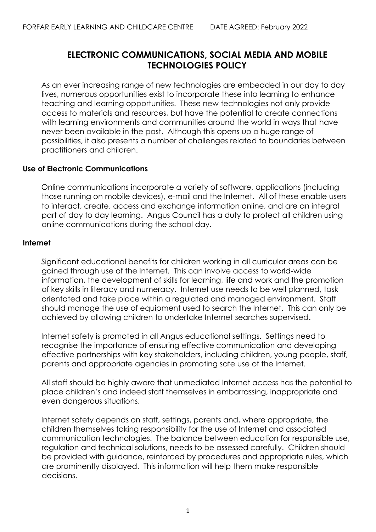# **ELECTRONIC COMMUNICATIONS, SOCIAL MEDIA AND MOBILE TECHNOLOGIES POLICY**

As an ever increasing range of new technologies are embedded in our day to day lives, numerous opportunities exist to incorporate these into learning to enhance teaching and learning opportunities. These new technologies not only provide access to materials and resources, but have the potential to create connections with learning environments and communities around the world in ways that have never been available in the past. Although this opens up a huge range of possibilities, it also presents a number of challenges related to boundaries between practitioners and children.

# **Use of Electronic Communications**

Online communications incorporate a variety of software, applications (including those running on mobile devices), e-mail and the Internet. All of these enable users to interact, create, access and exchange information online, and are an integral part of day to day learning. Angus Council has a duty to protect all children using online communications during the school day.

# **Internet**

Significant educational benefits for children working in all curricular areas can be gained through use of the Internet. This can involve access to world-wide information, the development of skills for learning, life and work and the promotion of key skills in literacy and numeracy. Internet use needs to be well planned, task orientated and take place within a regulated and managed environment. Staff should manage the use of equipment used to search the Internet. This can only be achieved by allowing children to undertake Internet searches supervised.

Internet safety is promoted in all Angus educational settings. Settings need to recognise the importance of ensuring effective communication and developing effective partnerships with key stakeholders, including children, young people, staff, parents and appropriate agencies in promoting safe use of the Internet.

All staff should be highly aware that unmediated Internet access has the potential to place children's and indeed staff themselves in embarrassing, inappropriate and even dangerous situations.

Internet safety depends on staff, settings, parents and, where appropriate, the children themselves taking responsibility for the use of Internet and associated communication technologies. The balance between education for responsible use, regulation and technical solutions, needs to be assessed carefully. Children should be provided with guidance, reinforced by procedures and appropriate rules, which are prominently displayed. This information will help them make responsible decisions.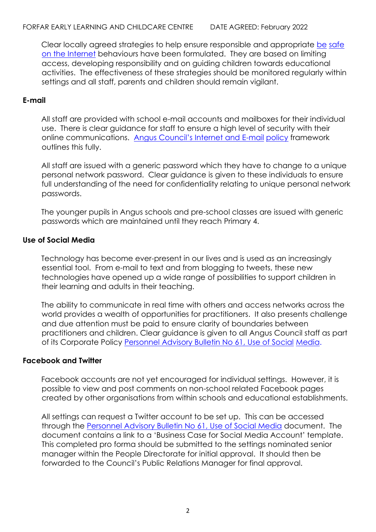Clear locally agreed strategies to help ensure responsible and appropriate [be](http://sr3county2k304/Staffnet/Policies/PoliciesAtoZ/Electronic_Comms/internet%20safety.pdf) safe [on the Internet](http://sr3county2k304/Staffnet/Policies/PoliciesAtoZ/Electronic_Comms/internet%20safety.pdf) behaviours have been formulated. They are based on limiting access, developing responsibility and on guiding children towards educational activities. The effectiveness of these strategies should be monitored regularly within settings and all staff, parents and children should remain vigilant.

## **E-mail**

All staff are provided with school e-mail accounts and mailboxes for their individual use. There is clear guidance for staff to ensure a high level of security with their online communications. [Angus Council's Internet and E](http://sr3county2k304/Staffnet/Policies/PoliciesAtoZ/Electronic_Comms/AC_Email_Internet_Pol.pdf)-mail [policy](http://intranet/CouncilInfo/Pages/E-MailandInternetPolicy.aspx) framework outlines this fully.

All staff are issued with a generic password which they have to change to a unique personal network password. Clear guidance is given to these individuals to ensure full understanding of the need for confidentiality relating to unique personal network passwords.

The younger pupils in Angus schools and pre-school classes are issued with generic passwords which are maintained until they reach Primary 4.

## **Use of Social Media**

Technology has become ever-present in our lives and is used as an increasingly essential tool. From e-mail to text and from blogging to tweets, these new technologies have opened up a wide range of possibilities to support children in their learning and adults in their teaching.

The ability to communicate in real time with others and access networks across the world provides a wealth of opportunities for practitioners. It also presents challenge and due attention must be paid to ensure clarity of boundaries between practitioners and children. Clear guidance is given to all Angus Council staff as part of its Corporate Policy [Personnel Advisory Bulletin No 61, Use of Social](http://sr3county2k304/Staffdev/Policies/PoliciesAtoZ/Electronic_Comms/AB61.pdf) [Media.](http://sr3county2k304/Staffdev/Policies/PoliciesAtoZ/Electronic_Comms/AB61.pdf)

## **Facebook and Twitter**

Facebook accounts are not yet encouraged for individual settings. However, it is possible to view and post comments on non-school related Facebook pages created by other organisations from within schools and educational establishments.

All settings can request a Twitter account to be set up. This can be accessed through the [Personnel Advisory Bulletin No 61, Use of Social Media](http://sr3county2k304/Staffdev/Policies/PoliciesAtoZ/Electronic_Comms/AB61.pdf) document. The document contains a link to a 'Business Case for Social Media Account' template. This completed pro forma should be submitted to the settings nominated senior manager within the People Directorate for initial approval. It should then be forwarded to the Council's Public Relations Manager for final approval.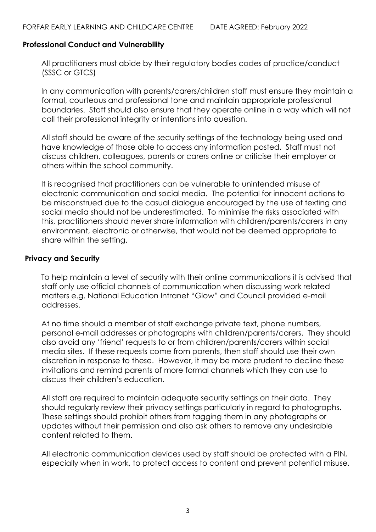## **Professional Conduct and Vulnerability**

All practitioners must abide by their regulatory bodies codes of practice/conduct (SSSC or GTCS)

In any communication with parents/carers/children staff must ensure they maintain a formal, courteous and professional tone and maintain appropriate professional boundaries. Staff should also ensure that they operate online in a way which will not call their professional integrity or intentions into question.

All staff should be aware of the security settings of the technology being used and have knowledge of those able to access any information posted. Staff must not discuss children, colleagues, parents or carers online or criticise their employer or others within the school community.

It is recognised that practitioners can be vulnerable to unintended misuse of electronic communication and social media. The potential for innocent actions to be misconstrued due to the casual dialogue encouraged by the use of texting and social media should not be underestimated. To minimise the risks associated with this, practitioners should never share information with children/parents/carers in any environment, electronic or otherwise, that would not be deemed appropriate to share within the setting.

## **Privacy and Security**

To help maintain a level of security with their online communications it is advised that staff only use official channels of communication when discussing work related matters e.g. National Education Intranet "Glow" and Council provided e-mail addresses.

At no time should a member of staff exchange private text, phone numbers, personal e-mail addresses or photographs with children/parents/carers. They should also avoid any 'friend' requests to or from children/parents/carers within social media sites. If these requests come from parents, then staff should use their own discretion in response to these. However, it may be more prudent to decline these invitations and remind parents of more formal channels which they can use to discuss their children's education.

All staff are required to maintain adequate security settings on their data. They should regularly review their privacy settings particularly in regard to photographs. These settings should prohibit others from tagging them in any photographs or updates without their permission and also ask others to remove any undesirable content related to them.

All electronic communication devices used by staff should be protected with a PIN, especially when in work, to protect access to content and prevent potential misuse.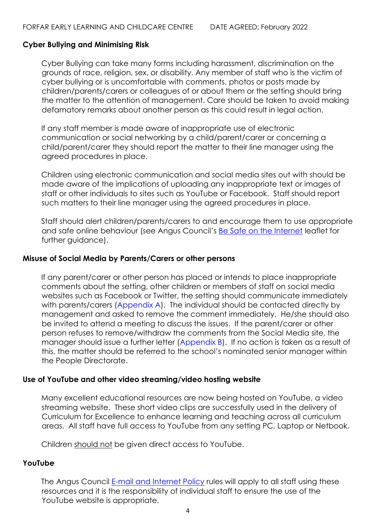## **Cyber Bullying and Minimising Risk**

Cyber Bullying can take many forms including harassment, discrimination on the grounds of race, religion, sex, or disability. Any member of staff who is the victim of cyber bullying or is uncomfortable with comments, photos or posts made by children/parents/carers or colleagues of or about them or the setting should bring the matter to the attention of management. Care should be taken to avoid making defamatory remarks about another person as this could result in legal action.

If any staff member is made aware of inappropriate use of electronic communication or social networking by a child/parent/carer or concerning a child/parent/carer they should report the matter to their line manager using the agreed procedures in place.

Children using electronic communication and social media sites out with should be made aware of the implications of uploading any inappropriate text or images of staff or other individuals to sites such as YouTube or Facebook. Staff should report such matters to their line manager using the agreed procedures in place.

Staff should alert children/parents/carers to and encourage them to use appropriate and safe online behaviour (see Angus Council's **[Be Safe on the Internet](http://sr3county2k304/Staffnet/Policies/PoliciesAtoZ/Electronic_Comms/internet%20safety.pdf)** leaflet for further guidance).

### **Misuse of Social Media by Parents/Carers or other persons**

If any parent/carer or other person has placed or intends to place inappropriate comments about the setting, other children or members of staff on social media websites such as Facebook or Twitter, the setting should communicate immediately with parents/carers (Appendix A). The individual should be contacted directly by management and asked to remove the comment immediately. He/she should also be invited to attend a meeting to discuss the issues. If the parent/carer or other person refuses to remove/withdraw the comments from the Social Media site, the manager should issue a further letter (Appendix B). If no action is taken as a result of this, the matter should be referred to the school's nominated senior manager within the People Directorate.

## **Use of YouTube and other video streaming/video hosting website**

Many excellent educational resources are now being hosted on YouTube, a video streaming website. These short video clips are successfully used in the delivery of Curriculum for Excellence to enhance learning and teaching across all curriculum areas. All staff have full access to YouTube from any setting PC, Laptop or Netbook.

Children should not be given direct access to YouTube.

## **YouTube**

The Angus Council [E-mail and Internet Policy](http://sr3county2k304/Staffnet/Policies/PoliciesAtoZ/Electronic_Comms/AC_Email_Internet_Pol.pdf) rules will apply to all staff using these resources and it is the responsibility of individual staff to ensure the use of the YouTube website is appropriate.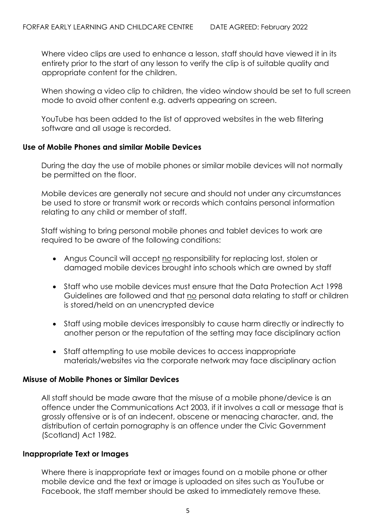Where video clips are used to enhance a lesson, staff should have viewed it in its entirety prior to the start of any lesson to verify the clip is of suitable quality and appropriate content for the children.

When showing a video clip to children, the video window should be set to full screen mode to avoid other content e.g. adverts appearing on screen.

YouTube has been added to the list of approved websites in the web filtering software and all usage is recorded.

## **Use of Mobile Phones and similar Mobile Devices**

During the day the use of mobile phones or similar mobile devices will not normally be permitted on the floor.

Mobile devices are generally not secure and should not under any circumstances be used to store or transmit work or records which contains personal information relating to any child or member of staff.

Staff wishing to bring personal mobile phones and tablet devices to work are required to be aware of the following conditions:

- Angus Council will accept no responsibility for replacing lost, stolen or damaged mobile devices brought into schools which are owned by staff
- Staff who use mobile devices must ensure that the Data Protection Act 1998 Guidelines are followed and that no personal data relating to staff or children is stored/held on an unencrypted device
- Staff using mobile devices irresponsibly to cause harm directly or indirectly to another person or the reputation of the setting may face disciplinary action
- Staff attempting to use mobile devices to access inappropriate materials/websites via the corporate network may face disciplinary action

# **Misuse of Mobile Phones or Similar Devices**

All staff should be made aware that the misuse of a mobile phone/device is an offence under the Communications Act 2003, if it involves a call or message that is grossly offensive or is of an indecent, obscene or menacing character, and, the distribution of certain pornography is an offence under the Civic Government (Scotland) Act 1982.

## **Inappropriate Text or Images**

Where there is inappropriate text or images found on a mobile phone or other mobile device and the text or image is uploaded on sites such as YouTube or Facebook, the staff member should be asked to immediately remove these*.*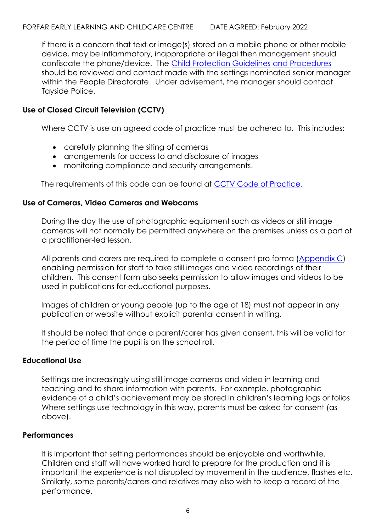If there is a concern that text or image(s) stored on a mobile phone or other mobile device, may be inflammatory, inappropriate or illegal then management should confiscate the phone/device. The [Child Protection Guidelines](http://www.angus.gov.uk/ac/documents/ChildProtectionGuidelinesandProcedures.pdf) [and Procedures](http://www.angus.gov.uk/ac/documents/ChildProtectionGuidelinesandProcedures.pdf) should be reviewed and contact made with the settings nominated senior manager within the People Directorate. Under advisement, the manager should contact Tayside Police.

# **Use of Closed Circuit Television (CCTV)**

Where CCTV is use an agreed code of practice must be adhered to. This includes:

- carefully planning the siting of cameras
- arrangements for access to and disclosure of images
- monitoring compliance and security arrangements.

The requirements of this code can be found at [CCTV Code of Practice.](http://www.ico.org.uk/for_organisations/data_protection/topic_guides/~/media/documents/library/Data_Protection/Detailed_specialist_guides/ICO_CCTVFINAL_2301.pdf)

# **Use of Cameras, Video Cameras and Webcams**

During the day the use of photographic equipment such as videos or still image cameras will not normally be permitted anywhere on the premises unless as a part of a practitioner-led lesson.

All parents and carers are required to complete a consent pro forma (Appendix C) enabling permission for staff to take still images and video recordings of their children. This consent form also seeks permission to allow images and videos to be used in publications for educational purposes.

Images of children or young people (up to the age of 18) must not appear in any publication or website without explicit parental consent in writing.

It should be noted that once a parent/carer has given consent, this will be valid for the period of time the pupil is on the school roll.

# **Educational Use**

Settings are increasingly using still image cameras and video in learning and teaching and to share information with parents. For example, photographic evidence of a child's achievement may be stored in children's learning logs or folios Where settings use technology in this way, parents must be asked for consent (as above).

# **Performances**

It is important that setting performances should be enjoyable and worthwhile. Children and staff will have worked hard to prepare for the production and it is important the experience is not disrupted by movement in the audience, flashes etc. Similarly, some parents/carers and relatives may also wish to keep a record of the performance.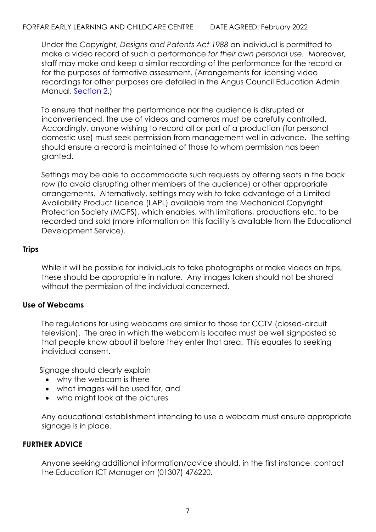Under the *Copyright, Designs and Patents Act 1988* an individual is permitted to make a video record of such a performance *for their own personal use.* Moreover, staff may make and keep a similar recording of the performance for the record or for the purposes of formative assessment. (Arrangements for licensing video recordings for other purposes are detailed in the Angus Council Education Admin Manual, [Section 2.\)](http://sr3county2k304/Staffnet/Information/AdminManual/Copyright/2_1/Section2_1.htm)

To ensure that neither the performance nor the audience is disrupted or inconvenienced, the use of videos and cameras must be carefully controlled. Accordingly, anyone wishing to record all or part of a production (for personal domestic use) must seek permission from management well in advance. The setting should ensure a record is maintained of those to whom permission has been granted.

Settings may be able to accommodate such requests by offering seats in the back row (to avoid disrupting other members of the audience) or other appropriate arrangements. Alternatively, settings may wish to take advantage of a Limited Availability Product Licence (LAPL) available from the Mechanical Copyright Protection Society (MCPS), which enables, with limitations, productions etc. to be recorded and sold (more information on this facility is available from the Educational Development Service).

# **Trips**

While it will be possible for individuals to take photographs or make videos on trips, these should be appropriate in nature. Any images taken should not be shared without the permission of the individual concerned.

# **Use of Webcams**

The regulations for using webcams are similar to those for CCTV (closed-circuit television). The area in which the webcam is located must be well signposted so that people know about it before they enter that area. This equates to seeking individual consent.

Signage should clearly explain

- why the webcam is there
- what images will be used for, and
- who might look at the pictures

Any educational establishment intending to use a webcam must ensure appropriate signage is in place.

# **FURTHER ADVICE**

Anyone seeking additional information/advice should, in the first instance, contact the Education ICT Manager on (01307) 476220.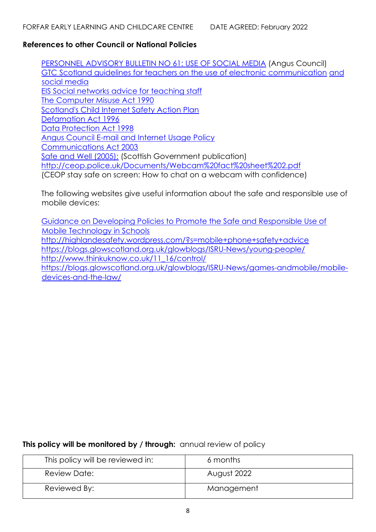## **References to other Council or National Policies**

[PERSONNEL ADVISORY BULLETIN NO 61: USE OF SOCIAL MEDIA](http://sr3county2k304/Staffdev/Policies/PoliciesAtoZ/Electronic_Comms/AB61.pdf) (Angus Council) [GTC Scotland guidelines for teachers on the use of electronic communication](http://www.gtcs.org.uk/web/FILES/FormUploads/ecomms-social-media-guidance-pd.pdf) [and](http://www.gtcs.org.uk/web/FILES/FormUploads/ecomms-social-media-guidance-pd.pdf)  [social media](http://www.gtcs.org.uk/web/FILES/FormUploads/ecomms-social-media-guidance-pd.pdf) [EIS Social networks advice for teaching staff](http://www.eis.org.uk/images/pdf/social%20networks.pdf) [The Computer Misuse Act 1990](http://www.legislation.gov.uk/ukpga/1990/18/contents) [Scotland's Child Internet Safety Action Plan](http://www.scotland.gov.uk/Publications/2010/02/09154928/1) [Defamation Act 1996](http://www.legislation.gov.uk/ukpga/1996/31) [Data Protection Act 1998](http://www.legislation.gov.uk/ukpga/1998/29/contents) [Angus Council E-mail and Internet Usage Policy](http://sr3county2k304/Staffnet/Policies/PoliciesAtoZ/Electronic_Comms/AC_Email_Internet_Pol.pdf) [Communications Act 2003](http://www.legislation.gov.uk/ukpga/2003/21/contents) [Safe and Well \(2005\);](http://www.copyrightservice.co.uk/copyright/uk_law_summary) [\(](http://www.copyrightservice.co.uk/copyright/uk_law_summary)Scottish Government publication) http://ceop.police.uk/Documents/Webcam%20fact%20sheet%202.pdf (CEOP stay safe on screen: How to chat on a webcam with confidence)

The following websites give useful information about the safe and responsible use of mobile devices:

[Guidance on Developing Policies to Promote the Safe and Responsible Use of](http://www.scotland.gov.uk/Resource/0043/00438214.pdf) [Mobile Technology in Schools](http://www.scotland.gov.uk/Resource/0043/00438214.pdf) http://highlandesafety.wordpress.com/?s=mobile+phone+safety+advice https://blogs.glowscotland.org.uk/glowblogs/ISRU-News/young-people/ http://www.thinkuknow.co.uk/11\_16/control/ https://blogs.glowscotland.org.uk/glowblogs/ISRU-News/games-andmobile/mobiledevices-and-the-law/

**This policy will be monitored by / through:** annual review of policy

| This policy will be reviewed in: | 6 months    |
|----------------------------------|-------------|
| Review Date:                     | August 2022 |
| Reviewed By:                     | Management  |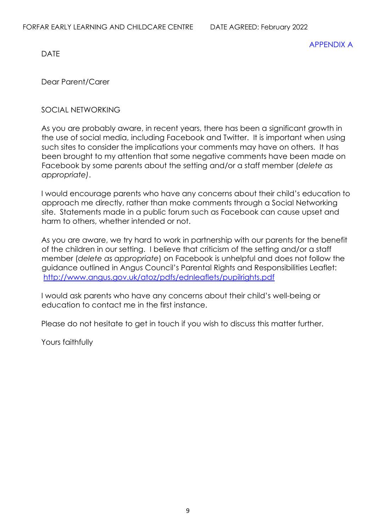DATE

APPENDIX A

Dear Parent/Carer

# SOCIAL NETWORKING

As you are probably aware, in recent years, there has been a significant growth in the use of social media, including Facebook and Twitter. It is important when using such sites to consider the implications your comments may have on others. It has been brought to my attention that some negative comments have been made on Facebook by some parents about the setting and/or a staff member (*delete as appropriate)*.

I would encourage parents who have any concerns about their child's education to approach me directly, rather than make comments through a Social Networking site. Statements made in a public forum such as Facebook can cause upset and harm to others, whether intended or not.

As you are aware, we try hard to work in partnership with our parents for the benefit of the children in our setting. I believe that criticism of the setting and/or a staff member (*delete as appropriate*) on Facebook is unhelpful and does not follow the guidance outlined in Angus Council's Parental Rights and Responsibilities Leaflet: http://www.angus.gov.uk/atoz/pdfs/ednleaflets/pupilrights.pdf

I would ask parents who have any concerns about their child's well-being or education to contact me in the first instance.

Please do not hesitate to get in touch if you wish to discuss this matter further.

Yours faithfully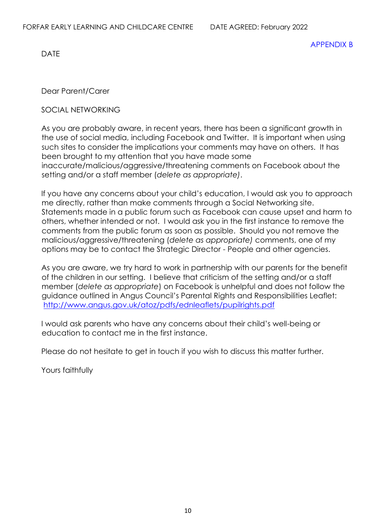DATE

Dear Parent/Carer

# SOCIAL NETWORKING

As you are probably aware, in recent years, there has been a significant growth in the use of social media, including Facebook and Twitter. It is important when using such sites to consider the implications your comments may have on others. It has been brought to my attention that you have made some inaccurate/malicious/aggressive/threatening comments on Facebook about the setting and/or a staff member (*delete as appropriate)*.

If you have any concerns about your child's education, I would ask you to approach me directly, rather than make comments through a Social Networking site. Statements made in a public forum such as Facebook can cause upset and harm to others, whether intended or not. I would ask you in the first instance to remove the comments from the public forum as soon as possible. Should you not remove the malicious/aggressive/threatening (*delete as appropriate)* comments, one of my options may be to contact the Strategic Director - People and other agencies.

As you are aware, we try hard to work in partnership with our parents for the benefit of the children in our setting. I believe that criticism of the setting and/or a staff member (*delete as appropriate*) on Facebook is unhelpful and does not follow the guidance outlined in Angus Council's Parental Rights and Responsibilities Leaflet: http://www.angus.gov.uk/atoz/pdfs/ednleaflets/pupilrights.pdf

I would ask parents who have any concerns about their child's well-being or education to contact me in the first instance.

Please do not hesitate to get in touch if you wish to discuss this matter further.

Yours faithfully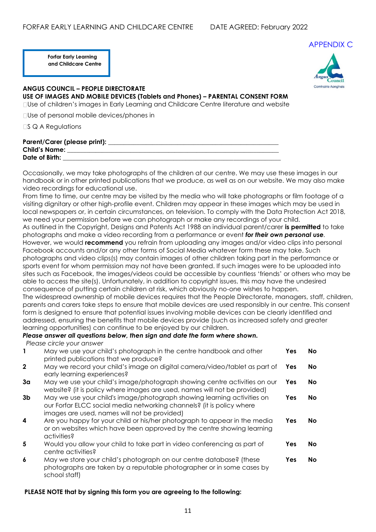**Forfar Early Learning and Childcare Centre**



#### **ANGUS COUNCIL – PEOPLE DIRECTORATE USE OF IMAGES AND MOBILE DEVICES (Tablets and Phones) – PARENTAL CONSENT FORM** Use of children's images in Early Learning and Childcare Centre literature and website

Use of personal mobile devices/phones in

 $\Box$ S Q A Regulations

| Parent/Carer (please print): |  |
|------------------------------|--|
| <b>Child's Name:</b>         |  |
| Date of Birth:               |  |

Occasionally, we may take photographs of the children at our centre. We may use these images in our handbook or in other printed publications that we produce, as well as on our website. We may also make video recordings for educational use.

From time to time, our centre may be visited by the media who will take photographs or film footage of a visiting dignitary or other high-profile event. Children may appear in these images which may be used in local newspapers or, in certain circumstances, on television. To comply with the Data Protection Act 2018, we need your permission before we can photograph or make any recordings of your child. As outlined in the Copyright, Designs and Patents Act 1988 an individual parent/carer **is permitted** to take photographs and make a video recording from a performance or event *for their own personal use.*  However, we would **recommend** you refrain from uploading any images and/or video clips into personal Facebook accounts and/or any other forms of Social Media whatever form these may take. Such photographs and video clips(s) may contain images of other children taking part in the performance or sports event for whom permission may not have been granted. If such images were to be uploaded into sites such as Facebook, the images/videos could be accessible by countless 'friends' or others who may be able to access the site(s). Unfortunately, in addition to copyright issues, this may have the undesired consequence of putting certain children at risk, which obviously no-one wishes to happen. The widespread ownership of mobile devices requires that the People Directorate, managers, staff, children, parents and carers take steps to ensure that mobile devices are used responsibly in our centre. This consent form is designed to ensure that potential issues involving mobile devices can be clearly identified and addressed, ensuring the benefits that mobile devices provide (such as increased safety and greater learning opportunities) can continue to be enjoyed by our children.

### *Please answer all questions below, then sign and date the form where shown.*

*Please circle your answer*

| 1              | May we use your child's photograph in the centre handbook and other<br>printed publications that we produce?                                                                                     | Yes | <b>No</b> |
|----------------|--------------------------------------------------------------------------------------------------------------------------------------------------------------------------------------------------|-----|-----------|
| $\mathbf{2}$   | May we record your child's image on digital camera/video/tablet as part of<br>early learning experiences?                                                                                        | Yes | No.       |
| 3 <sub>a</sub> | May we use your child's image/photograph showing centre activities on our<br>website? (it is policy where images are used, names will not be provided)                                           | Yes | No.       |
| 3b             | May we use your child's image/photograph showing learning activities on<br>our Forfar ELCC social media networking channels? (it is policy where<br>images are used, names will not be provided) | Yes | No.       |
| 4              | Are you happy for your child or his/her photograph to appear in the media<br>or on websites which have been approved by the centre showing learning<br>activities?                               | Yes | No.       |
| 5              | Would you allow your child to take part in video conferencing as part of<br>centre activities?                                                                                                   | Yes | No.       |
| 6              | May we store your child's photograph on our centre database? (these<br>photographs are taken by a reputable photographer or in some cases by<br>school staff)                                    | Yes | No.       |

#### **PLEASE NOTE that by signing this form you are agreeing to the following:**